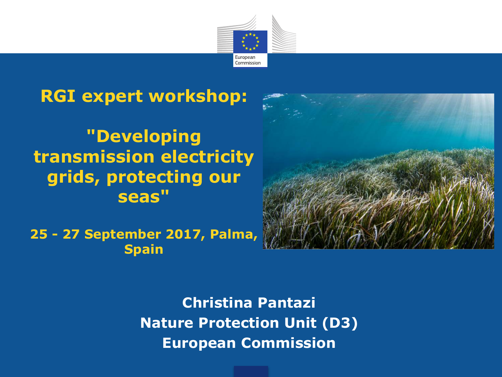

### **RGI expert workshop:**

### **"Developing transmission electricity grids, protecting our seas"**

**25 - 27 September 2017, Palma, Spain**



**Christina Pantazi Nature Protection Unit (D3) European Commission**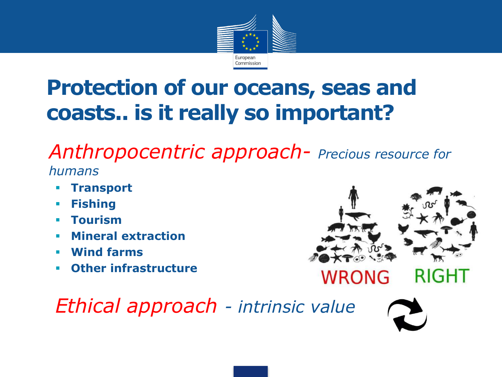

# **Protection of our oceans, seas and coasts.. is it really so important?**

§ *Anthropocentric approach- Precious resource for humans*

- § **Transport**
- § **Fishing**
- § **Tourism**
- § **Mineral extraction**
- § **Wind farms**
- § **Other infrastructure**



# **WRONG**

*Ethical approach - intrinsic value*

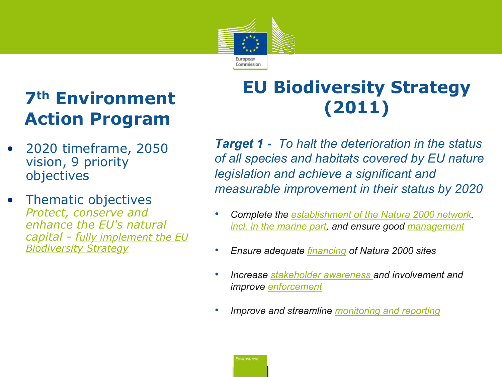

## **7th Environment Action Program**

- 2020 timeframe, 2050 vision, 9 priority objectives
- Thematic objectives *Protect, conserve and enhance the EU's natural capital - fully implement the EU Biodiversity Strategy*

### **EU Biodiversity Strategy (2011)**

*Target 1 - To halt the deterioration in the status of all species and habitats covered by EU nature legislation and achieve a significant and measurable improvement in their status by 2020*

- *Complete the establishment of the Natura 2000 network, incl. in the marine part, and ensure good management*
- *Ensure adequate financing of Natura 2000 sites*
- *Increase stakeholder awareness and involvement and improve enforcement*
- *Improve and streamline monitoring and reporting*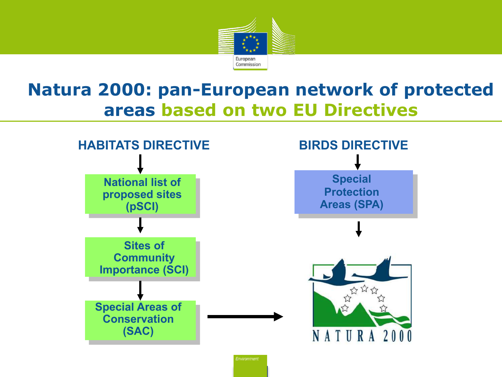

### **Natura 2000: pan-European network of protected areas based on two EU Directives**

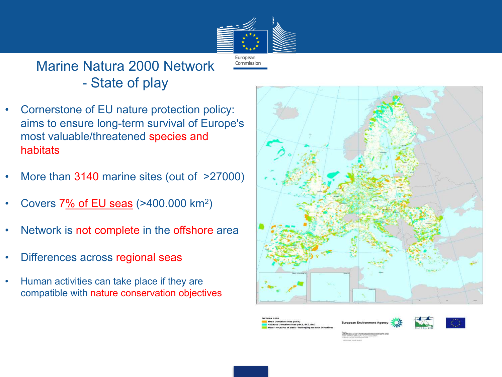

### Marine Natura 2000 Network - State of play

- Cornerstone of EU nature protection policy: aims to ensure long-term survival of Europe's most valuable/threatened species and habitats
- More than 3140 marine sites (out of  $>27000$ )
- Covers 7% of EU seas (>400.000 km<sup>2</sup>)
- Network is not complete in the offshore area
- Differences across regional seas
- Human activities can take place if they are compatible with nature conservation objectives



rds Directive sites (SPA)<br>Ibitats Directive sites pSCI, SCI, SAC

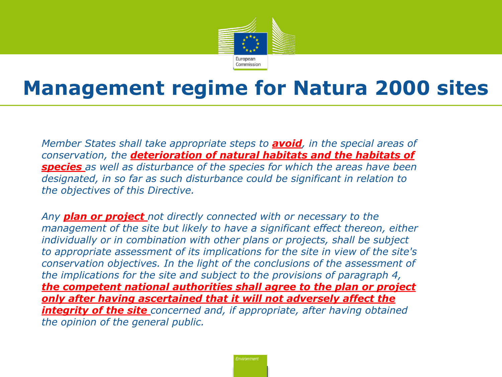

# **Management regime for Natura 2000 sites**

• *Member States shall take appropriate steps to avoid, in the special areas of conservation, the deterioration of natural habitats and the habitats of species as well as disturbance of the species for which the areas have been designated, in so far as such disturbance could be significant in relation to the objectives of this Directive.* 

• *Any plan or project not directly connected with or necessary to the management of the site but likely to have a significant effect thereon, either individually or in combination with other plans or projects, shall be subject to appropriate assessment of its implications for the site in view of the site's conservation objectives. In the light of the conclusions of the assessment of the implications for the site and subject to the provisions of paragraph 4, the competent national authorities shall agree to the plan or project only after having ascertained that it will not adversely affect the integrity of the site concerned and, if appropriate, after having obtained the opinion of the general public.*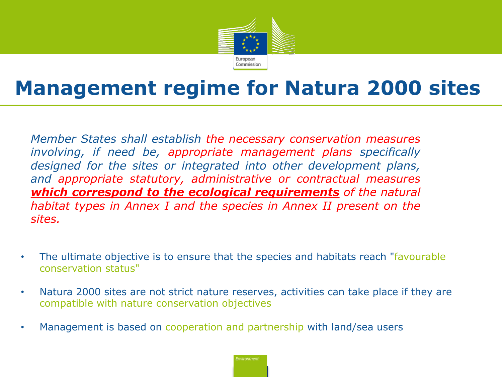

# **Management regime for Natura 2000 sites**

*Member States shall establish the necessary conservation measures involving, if need be, appropriate management plans specifically designed for the sites or integrated into other development plans, and appropriate statutory, administrative or contractual measures which correspond to the ecological requirements of the natural habitat types in Annex I and the species in Annex II present on the sites.*

- The ultimate objective is to ensure that the species and habitats reach "favourable conservation status"
- Natura 2000 sites are not strict nature reserves, activities can take place if they are compatible with nature conservation objectives
- Management is based on cooperation and partnership with land/sea users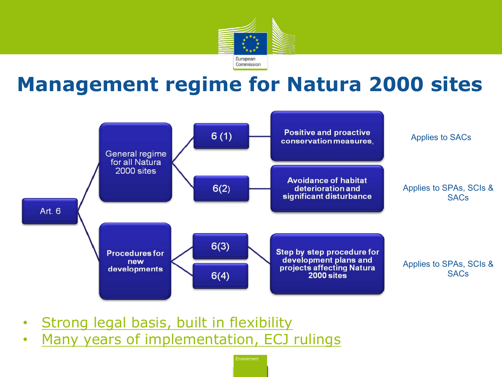

# **Management regime for Natura 2000 sites**



- **Strong legal basis, built in flexibility**
- Many years of implementation, ECJ rulings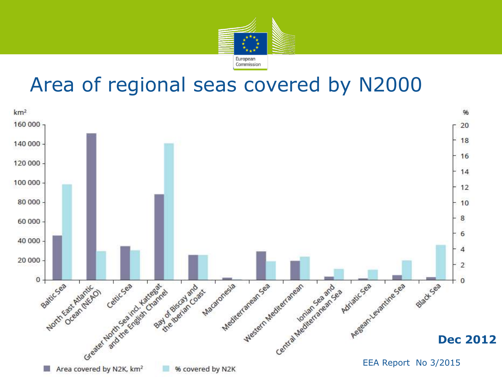

## Area of regional seas covered by N2000

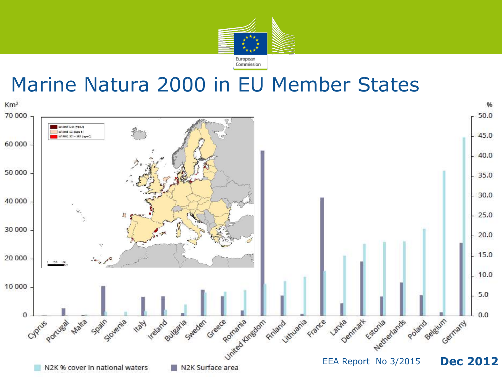

### Marine Natura 2000 in EU Member States

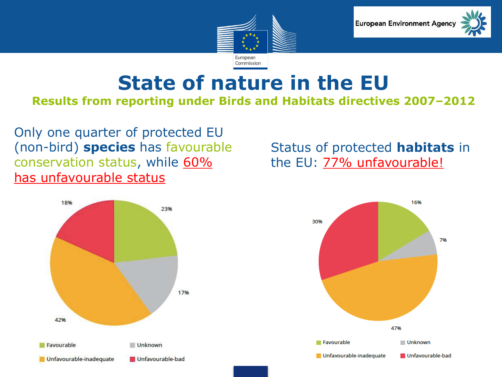



# **State of nature in the EU**

#### **Results from reporting under Birds and Habitats directives 2007–2012**

Only one quarter of protected EU (non-bird) **species** has favourable conservation status, while 60% has unfavourable status



Status of protected **habitats** in the EU: **77% unfavourable!** 

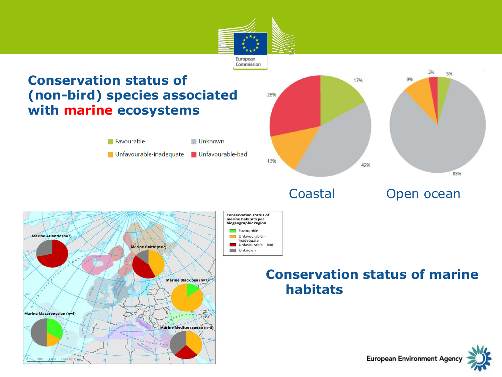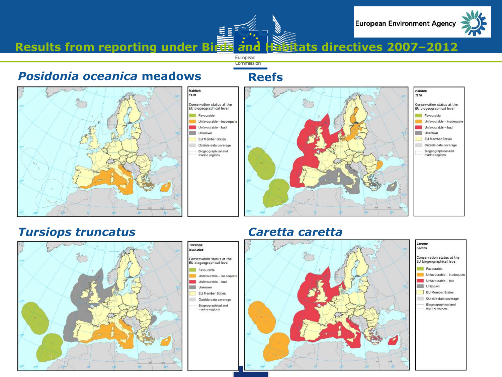

#### **Results from reporting under Birds and Habitats directives 2007-2012**

**State of nature in the EU** 

European **Commission** 

#### *Posidonia oceanica* **meadows Reefs**







#### *Tursiops truncatus Caretta caretta*





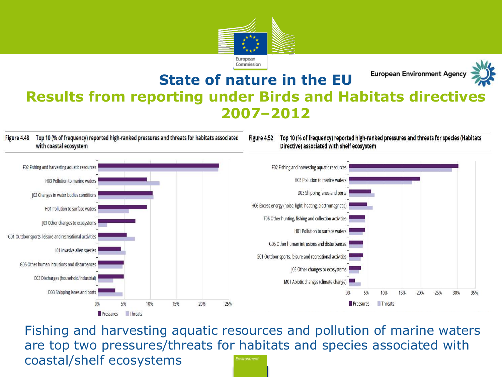

#### **European Environment Agency State of nature in the EU Results from reporting under Birds and Habitats directives 2007–2012**

Top 10 (% of frequency) reported high-ranked pressures and threats for habitats associated Figure 4.48 with coastal ecosystem

#### Figure 4.52 Top 10 (% of frequency) reported high-ranked pressures and threats for species (Habitats Directive) associated with shelf ecosystem



Fishing and harvesting aquatic resources and pollution of marine waters are top two pressures/threats for habitats and species associated with coastal/shelf ecosystems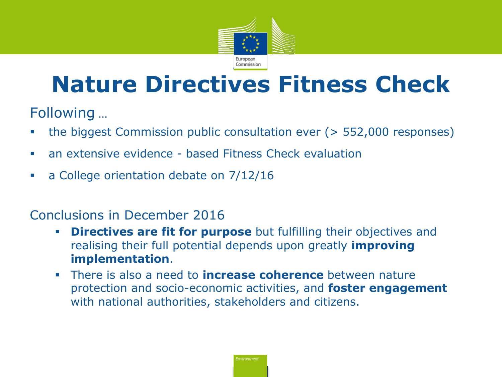

# **Nature Directives Fitness Check**

Following …

- the biggest Commission public consultation ever (> 552,000 responses)
- an extensive evidence based Fitness Check evaluation
- a College orientation debate on 7/12/16

#### Conclusions in December 2016

- **Directives are fit for purpose** but fulfilling their objectives and realising their full potential depends upon greatly **improving implementation**.
- § There is also a need to **increase coherence** between nature protection and socio-economic activities, and **foster engagement**  with national authorities, stakeholders and citizens.

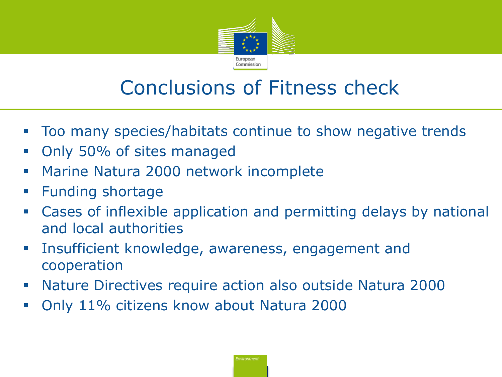

# Conclusions of Fitness check

- § Too many species/habitats continue to show negative trends
- Only 50% of sites managed
- **Marine Natura 2000 network incomplete**
- § Funding shortage
- § Cases of inflexible application and permitting delays by national and local authorities
- **Insufficient knowledge, awareness, engagement and** cooperation
- § Nature Directives require action also outside Natura 2000
- § Only 11% citizens know about Natura 2000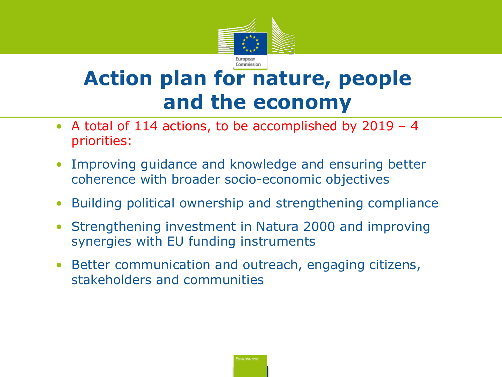

# **Action plan for nature, people and the economy**

- A total of 114 actions, to be accomplished by 2019 4 priorities:
- Improving guidance and knowledge and ensuring better coherence with broader socio-economic objectives
- Building political ownership and strengthening compliance
- Strengthening investment in Natura 2000 and improving synergies with EU funding instruments
- Better communication and outreach, engaging citizens, stakeholders and communities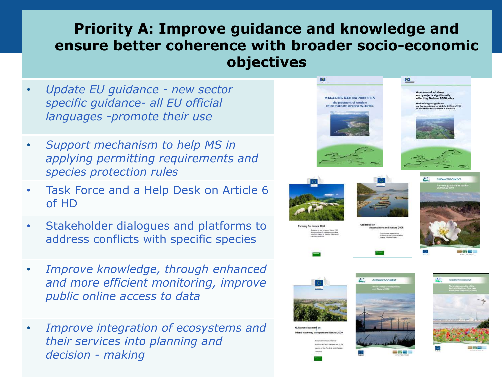### **Priority A: Improve guidance and knowledge and ensure better coherence with broader socio-economic objectives**

- *Update EU guidance - new sector specific guidance- all EU official languages -promote their use*
- *Support mechanism to help MS in applying permitting requirements and species protection rules*
- Task Force and a Help Desk on Article 6 of HD
- Stakeholder dialogues and platforms to address conflicts with specific species
- *Improve knowledge, through enhanced and more efficient monitoring, improve public online access to data*
- *Improve integration of ecosystems and their services into planning and decision - making*

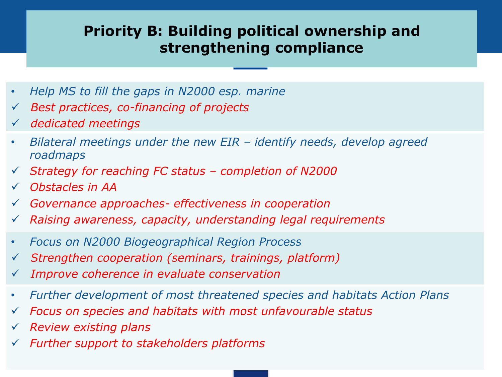### **Priority B: Building political ownership and strengthening compliance**

- *Help MS to fill the gaps in N2000 esp. marine*
- ü *Best practices, co-financing of projects*
- ü *dedicated meetings*
- *Bilateral meetings under the new EIR – identify needs, develop agreed roadmaps*
- ü *Strategy for reaching FC status – completion of N2000*
- ü *Obstacles in AA*
- ü *Governance approaches- effectiveness in cooperation*
- ü *Raising awareness, capacity, understanding legal requirements*
- *Focus on N2000 Biogeographical Region Process*
- ü *Strengthen cooperation (seminars, trainings, platform)*
- ü *Improve coherence in evaluate conservation*
- *Further development of most threatened species and habitats Action Plans*
- ü *Focus on species and habitats with most unfavourable status*
- ü *Review existing plans*
- ü *Further support to stakeholders platforms*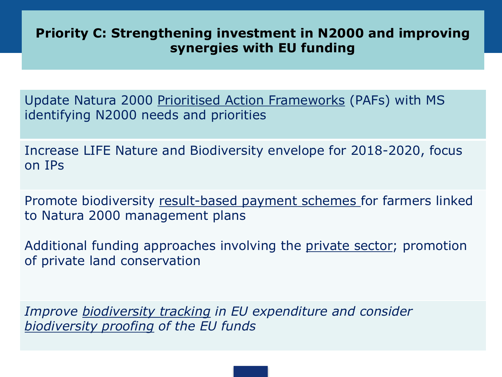#### **Priority C: Strengthening investment in N2000 and improving synergies with EU funding**

Update Natura 2000 Prioritised Action Frameworks (PAFs) with MS identifying N2000 needs and priorities

Increase LIFE Nature and Biodiversity envelope for 2018-2020, focus on IPs

Promote biodiversity result-based payment schemes for farmers linked to Natura 2000 management plans

Additional funding approaches involving the private sector; promotion of private land conservation

*Improve biodiversity tracking in EU expenditure and consider biodiversity proofing of the EU funds*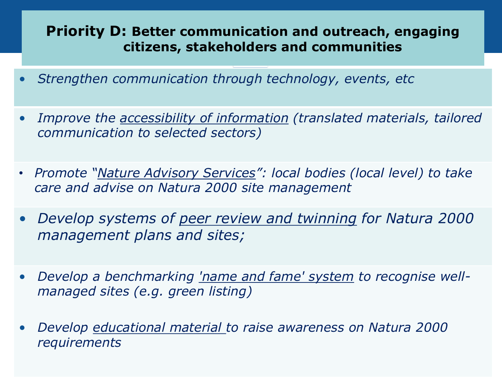#### **Priority D: Better communication and outreach, engaging citizens, stakeholders and communities**

- *Strengthen communication through technology, events, etc*
- *Improve the accessibility of information (translated materials, tailored communication to selected sectors)*
- *Promote "Nature Advisory Services": local bodies (local level) to take care and advise on Natura 2000 site management*
- *Develop systems of peer review and twinning for Natura 2000 management plans and sites;*
- *Develop a benchmarking 'name and fame' system to recognise wellmanaged sites (e.g. green listing)*
- *Develop educational material to raise awareness on Natura 2000 requirements*